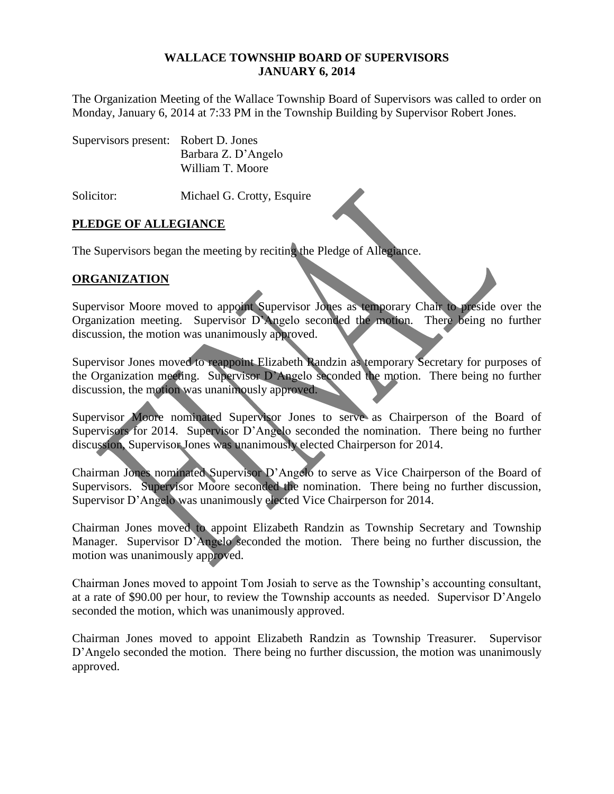#### **WALLACE TOWNSHIP BOARD OF SUPERVISORS JANUARY 6, 2014**

The Organization Meeting of the Wallace Township Board of Supervisors was called to order on Monday, January 6, 2014 at 7:33 PM in the Township Building by Supervisor Robert Jones.

| Supervisors present: Robert D. Jones |                     |
|--------------------------------------|---------------------|
|                                      | Barbara Z. D'Angelo |
|                                      | William T. Moore    |

Solicitor: Michael G. Crotty, Esquire

# **PLEDGE OF ALLEGIANCE**

The Supervisors began the meeting by reciting the Pledge of Allegiance.

# **ORGANIZATION**

Supervisor Moore moved to appoint Supervisor Jones as temporary Chair to preside over the Organization meeting. Supervisor D'Angelo seconded the motion. There being no further discussion, the motion was unanimously approved.

Supervisor Jones moved to reappoint Elizabeth Randzin as temporary Secretary for purposes of the Organization meeting. Supervisor D'Angelo seconded the motion. There being no further discussion, the motion was unanimously approved.

Supervisor Moore nominated Supervisor Jones to serve as Chairperson of the Board of Supervisors for 2014. Supervisor D'Angelo seconded the nomination. There being no further discussion, Supervisor Jones was unanimously elected Chairperson for 2014.

Chairman Jones nominated Supervisor D'Angelo to serve as Vice Chairperson of the Board of Supervisors. Supervisor Moore seconded the nomination. There being no further discussion, Supervisor D'Angelo was unanimously elected Vice Chairperson for 2014.

Chairman Jones moved to appoint Elizabeth Randzin as Township Secretary and Township Manager. Supervisor D'Angelo seconded the motion. There being no further discussion, the motion was unanimously approved.

Chairman Jones moved to appoint Tom Josiah to serve as the Township's accounting consultant, at a rate of \$90.00 per hour, to review the Township accounts as needed. Supervisor D'Angelo seconded the motion, which was unanimously approved.

Chairman Jones moved to appoint Elizabeth Randzin as Township Treasurer. Supervisor D'Angelo seconded the motion. There being no further discussion, the motion was unanimously approved.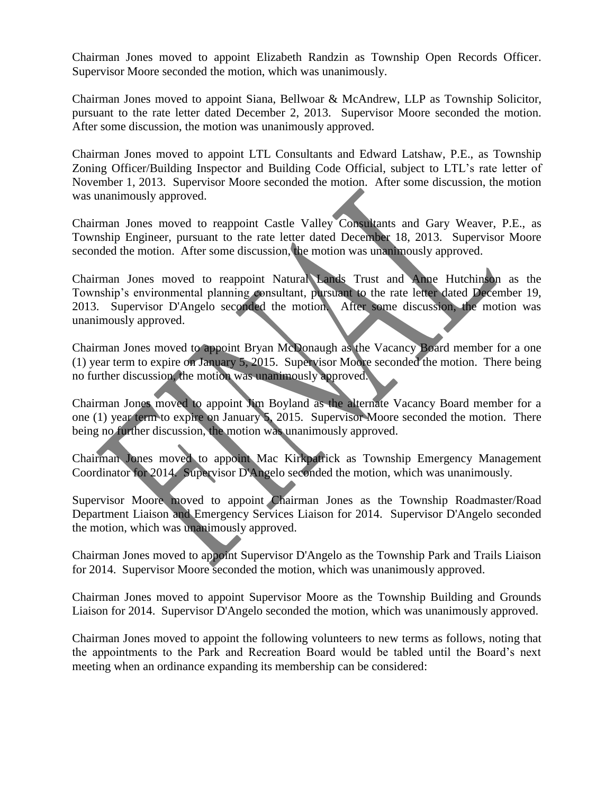Chairman Jones moved to appoint Elizabeth Randzin as Township Open Records Officer. Supervisor Moore seconded the motion, which was unanimously.

Chairman Jones moved to appoint Siana, Bellwoar & McAndrew, LLP as Township Solicitor, pursuant to the rate letter dated December 2, 2013. Supervisor Moore seconded the motion. After some discussion, the motion was unanimously approved.

Chairman Jones moved to appoint LTL Consultants and Edward Latshaw, P.E., as Township Zoning Officer/Building Inspector and Building Code Official, subject to LTL's rate letter of November 1, 2013. Supervisor Moore seconded the motion. After some discussion, the motion was unanimously approved.

Chairman Jones moved to reappoint Castle Valley Consultants and Gary Weaver, P.E., as Township Engineer, pursuant to the rate letter dated December 18, 2013. Supervisor Moore seconded the motion. After some discussion, the motion was unanimously approved.

Chairman Jones moved to reappoint Natural Lands Trust and Anne Hutchinson as the Township's environmental planning consultant, pursuant to the rate letter dated December 19, 2013. Supervisor D'Angelo seconded the motion. After some discussion, the motion was unanimously approved.

Chairman Jones moved to appoint Bryan McDonaugh as the Vacancy Board member for a one (1) year term to expire on January 5, 2015. Supervisor Moore seconded the motion. There being no further discussion, the motion was unanimously approved.

Chairman Jones moved to appoint Jim Boyland as the alternate Vacancy Board member for a one (1) year term to expire on January 5, 2015. Supervisor Moore seconded the motion. There being no further discussion, the motion was unanimously approved.

Chairman Jones moved to appoint Mac Kirkpatrick as Township Emergency Management Coordinator for 2014. Supervisor D'Angelo seconded the motion, which was unanimously.

Supervisor Moore moved to appoint Chairman Jones as the Township Roadmaster/Road Department Liaison and Emergency Services Liaison for 2014. Supervisor D'Angelo seconded the motion, which was unanimously approved.

Chairman Jones moved to appoint Supervisor D'Angelo as the Township Park and Trails Liaison for 2014. Supervisor Moore seconded the motion, which was unanimously approved.

Chairman Jones moved to appoint Supervisor Moore as the Township Building and Grounds Liaison for 2014. Supervisor D'Angelo seconded the motion, which was unanimously approved.

Chairman Jones moved to appoint the following volunteers to new terms as follows, noting that the appointments to the Park and Recreation Board would be tabled until the Board's next meeting when an ordinance expanding its membership can be considered: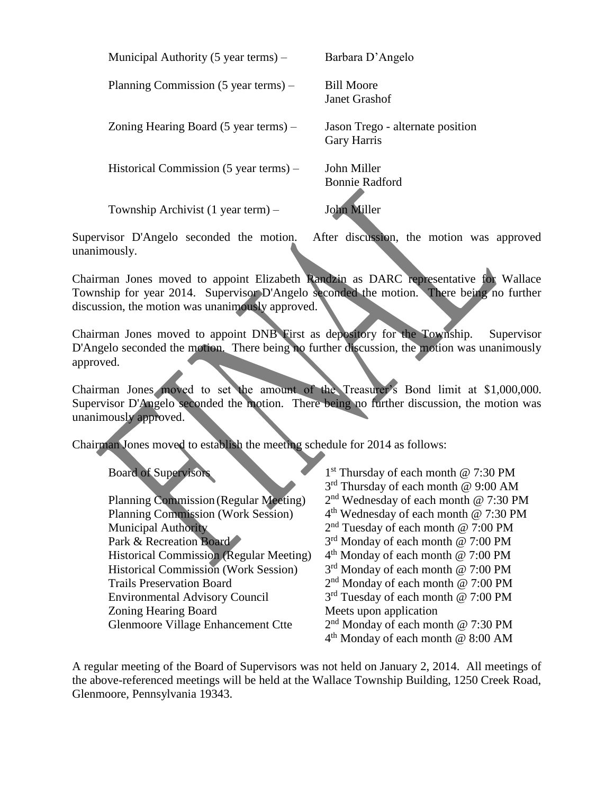Planning Commission (5 year terms) – Bill Moore

Zoning Hearing Board (5 year terms) – Jason Trego - alternate position

Historical Commission (5 year terms) – John Miller

Township Archivist (1 year term) – John Miller

Barbara D'Angelo

Janet Grashof

Gary Harris

Bonnie Radford

unanimously.

Supervisor D'Angelo seconded the motion. After discussion, the motion was approved

 $1<sup>st</sup>$  Thursday of each month @ 7:30 PM

Chairman Jones moved to appoint Elizabeth Randzin as DARC representative for Wallace Township for year 2014. Supervisor D'Angelo seconded the motion. There being no further discussion, the motion was unanimously approved.

Chairman Jones moved to appoint DNB First as depository for the Township. Supervisor D'Angelo seconded the motion. There being no further discussion, the motion was unanimously approved.

Chairman Jones moved to set the amount of the Treasurer's Bond limit at \$1,000,000. Supervisor D'Angelo seconded the motion. There being no further discussion, the motion was unanimously approved.

Chairman Jones moved to establish the meeting schedule for 2014 as follows:

Board of Supervisors 1

|                                                | $3rd$ Thursday of each month @ 9:00 AM            |
|------------------------------------------------|---------------------------------------------------|
| <b>Planning Commission (Regular Meeting)</b>   | $2nd$ Wednesday of each month @ 7:30 PM           |
| <b>Planning Commission (Work Session)</b>      | 4 <sup>th</sup> Wednesday of each month @ 7:30 PM |
| <b>Municipal Authority</b>                     | $2nd$ Tuesday of each month @ 7:00 PM             |
| Park & Recreation Board                        | 3 <sup>rd</sup> Monday of each month @ 7:00 PM    |
| <b>Historical Commission (Regular Meeting)</b> | $4th$ Monday of each month @ 7:00 PM              |
| <b>Historical Commission (Work Session)</b>    | $3rd$ Monday of each month @ 7:00 PM              |
| <b>Trails Preservation Board</b>               | $2nd$ Monday of each month @ 7:00 PM              |
| <b>Environmental Advisory Council</b>          | $3rd$ Tuesday of each month @ 7:00 PM             |
| Zoning Hearing Board                           | Meets upon application                            |
| Glenmoore Village Enhancement Ctte             | $2nd$ Monday of each month @ 7:30 PM              |
|                                                | $4th$ Monday of each month @ 8:00 AM              |

A regular meeting of the Board of Supervisors was not held on January 2, 2014. All meetings of the above-referenced meetings will be held at the Wallace Township Building, 1250 Creek Road, Glenmoore, Pennsylvania 19343.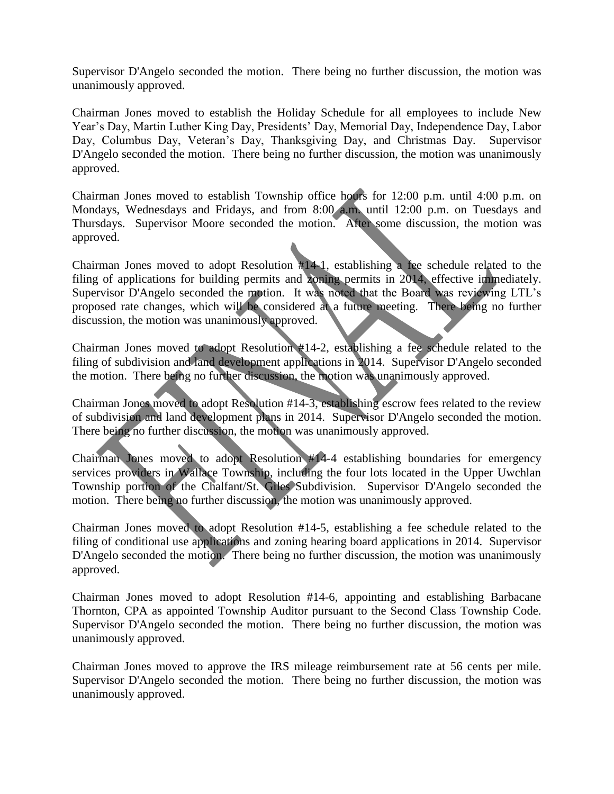Supervisor D'Angelo seconded the motion. There being no further discussion, the motion was unanimously approved.

Chairman Jones moved to establish the Holiday Schedule for all employees to include New Year's Day, Martin Luther King Day, Presidents' Day, Memorial Day, Independence Day, Labor Day, Columbus Day, Veteran's Day, Thanksgiving Day, and Christmas Day. Supervisor D'Angelo seconded the motion. There being no further discussion, the motion was unanimously approved.

Chairman Jones moved to establish Township office hours for 12:00 p.m. until 4:00 p.m. on Mondays, Wednesdays and Fridays, and from 8:00 a.m. until 12:00 p.m. on Tuesdays and Thursdays. Supervisor Moore seconded the motion. After some discussion, the motion was approved.

Chairman Jones moved to adopt Resolution #14-1, establishing a fee schedule related to the filing of applications for building permits and zoning permits in 2014, effective immediately. Supervisor D'Angelo seconded the motion. It was noted that the Board was reviewing LTL's proposed rate changes, which will be considered at a future meeting. There being no further discussion, the motion was unanimously approved.

Chairman Jones moved to adopt Resolution #14-2, establishing a fee schedule related to the filing of subdivision and land development applications in 2014. Supervisor D'Angelo seconded the motion. There being no further discussion, the motion was unanimously approved.

Chairman Jones moved to adopt Resolution #14-3, establishing escrow fees related to the review of subdivision and land development plans in 2014. Supervisor D'Angelo seconded the motion. There being no further discussion, the motion was unanimously approved.

Chairman Jones moved to adopt Resolution #14-4 establishing boundaries for emergency services providers in Wallace Township, including the four lots located in the Upper Uwchlan Township portion of the Chalfant/St. Giles Subdivision. Supervisor D'Angelo seconded the motion. There being no further discussion, the motion was unanimously approved.

Chairman Jones moved to adopt Resolution #14-5, establishing a fee schedule related to the filing of conditional use applications and zoning hearing board applications in 2014. Supervisor D'Angelo seconded the motion. There being no further discussion, the motion was unanimously approved.

Chairman Jones moved to adopt Resolution #14-6, appointing and establishing Barbacane Thornton, CPA as appointed Township Auditor pursuant to the Second Class Township Code. Supervisor D'Angelo seconded the motion. There being no further discussion, the motion was unanimously approved.

Chairman Jones moved to approve the IRS mileage reimbursement rate at 56 cents per mile. Supervisor D'Angelo seconded the motion. There being no further discussion, the motion was unanimously approved.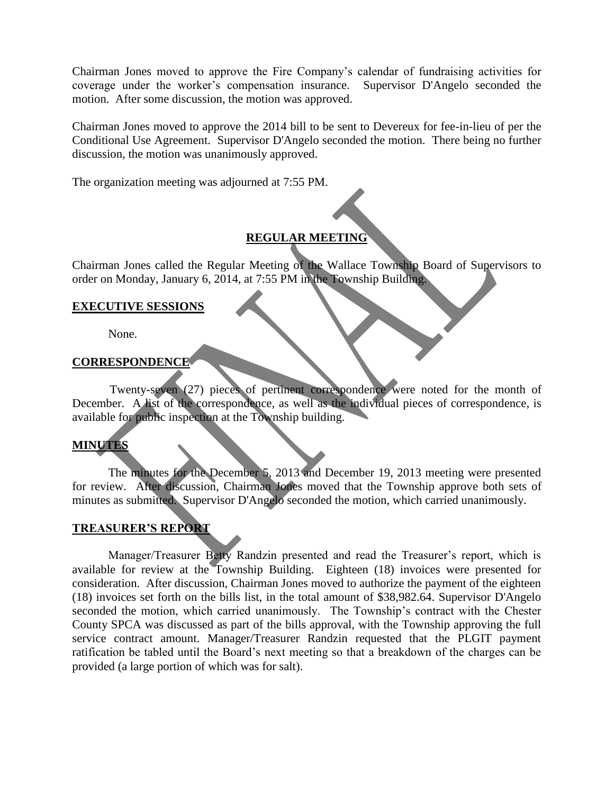Chairman Jones moved to approve the Fire Company's calendar of fundraising activities for coverage under the worker's compensation insurance. Supervisor D'Angelo seconded the motion. After some discussion, the motion was approved.

Chairman Jones moved to approve the 2014 bill to be sent to Devereux for fee-in-lieu of per the Conditional Use Agreement. Supervisor D'Angelo seconded the motion. There being no further discussion, the motion was unanimously approved.

The organization meeting was adjourned at 7:55 PM.

# **REGULAR MEETING**

Chairman Jones called the Regular Meeting of the Wallace Township Board of Supervisors to order on Monday, January 6, 2014, at 7:55 PM in the Township Building.

### **EXECUTIVE SESSIONS**

None.

### **CORRESPONDENCE**

Twenty-seven (27) pieces of pertinent correspondence were noted for the month of December. A list of the correspondence, as well as the individual pieces of correspondence, is available for public inspection at the Township building.

# **MINUTES**

The minutes for the December 5, 2013 and December 19, 2013 meeting were presented for review. After discussion, Chairman Jones moved that the Township approve both sets of minutes as submitted. Supervisor D'Angelo seconded the motion, which carried unanimously.

# **TREASURER'S REPORT**

Manager/Treasurer Betty Randzin presented and read the Treasurer's report, which is available for review at the Township Building. Eighteen (18) invoices were presented for consideration. After discussion, Chairman Jones moved to authorize the payment of the eighteen (18) invoices set forth on the bills list, in the total amount of \$38,982.64. Supervisor D'Angelo seconded the motion, which carried unanimously. The Township's contract with the Chester County SPCA was discussed as part of the bills approval, with the Township approving the full service contract amount. Manager/Treasurer Randzin requested that the PLGIT payment ratification be tabled until the Board's next meeting so that a breakdown of the charges can be provided (a large portion of which was for salt).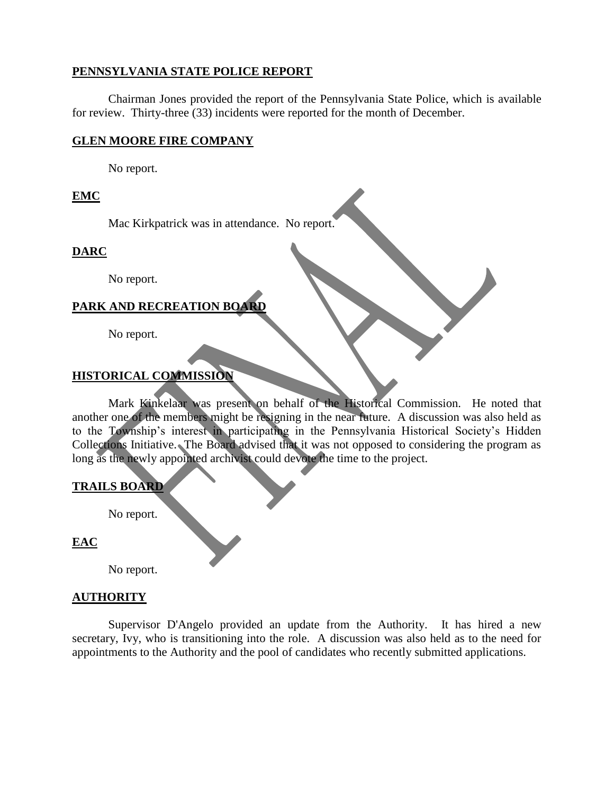### **PENNSYLVANIA STATE POLICE REPORT**

Chairman Jones provided the report of the Pennsylvania State Police, which is available for review. Thirty-three (33) incidents were reported for the month of December.

### **GLEN MOORE FIRE COMPANY**

No report.

# **EMC**

Mac Kirkpatrick was in attendance. No report.

# **DARC**

No report.

# **PARK AND RECREATION BOARD**

No report.

# **HISTORICAL COMMISSION**

Mark Kinkelaar was present on behalf of the Historical Commission. He noted that another one of the members might be resigning in the near future. A discussion was also held as to the Township's interest in participating in the Pennsylvania Historical Society's Hidden Collections Initiative. The Board advised that it was not opposed to considering the program as long as the newly appointed archivist could devote the time to the project.

#### **TRAILS BOARD**

No report.

# **EAC**

No report.

#### **AUTHORITY**

Supervisor D'Angelo provided an update from the Authority. It has hired a new secretary, Ivy, who is transitioning into the role. A discussion was also held as to the need for appointments to the Authority and the pool of candidates who recently submitted applications.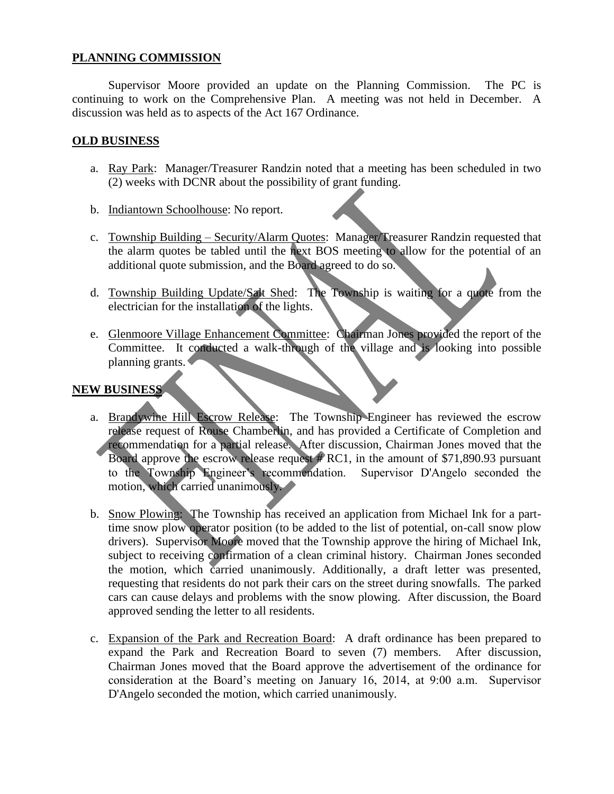# **PLANNING COMMISSION**

Supervisor Moore provided an update on the Planning Commission. The PC is continuing to work on the Comprehensive Plan. A meeting was not held in December. A discussion was held as to aspects of the Act 167 Ordinance.

### **OLD BUSINESS**

- a. Ray Park: Manager/Treasurer Randzin noted that a meeting has been scheduled in two (2) weeks with DCNR about the possibility of grant funding.
- b. Indiantown Schoolhouse: No report.
- c. Township Building Security/Alarm Quotes: Manager/Treasurer Randzin requested that the alarm quotes be tabled until the next BOS meeting to allow for the potential of an additional quote submission, and the Board agreed to do so.
- d. Township Building Update/Salt Shed: The Township is waiting for a quote from the electrician for the installation of the lights.
- e. Glenmoore Village Enhancement Committee: Chairman Jones provided the report of the Committee. It conducted a walk-through of the village and is looking into possible planning grants.

# **NEW BUSINESS**

- a. Brandywine Hill Escrow Release: The Township Engineer has reviewed the escrow release request of Rouse Chamberlin, and has provided a Certificate of Completion and recommendation for a partial release. After discussion, Chairman Jones moved that the Board approve the escrow release request  $\#$  RC1, in the amount of \$71,890.93 pursuant to the Township Engineer's recommendation. Supervisor D'Angelo seconded the motion, which carried unanimously.
- b. Snow Plowing: The Township has received an application from Michael Ink for a parttime snow plow operator position (to be added to the list of potential, on-call snow plow drivers). Supervisor Moore moved that the Township approve the hiring of Michael Ink, subject to receiving confirmation of a clean criminal history. Chairman Jones seconded the motion, which carried unanimously. Additionally, a draft letter was presented, requesting that residents do not park their cars on the street during snowfalls. The parked cars can cause delays and problems with the snow plowing. After discussion, the Board approved sending the letter to all residents.
- c. Expansion of the Park and Recreation Board: A draft ordinance has been prepared to expand the Park and Recreation Board to seven (7) members. After discussion, Chairman Jones moved that the Board approve the advertisement of the ordinance for consideration at the Board's meeting on January 16, 2014, at 9:00 a.m. Supervisor D'Angelo seconded the motion, which carried unanimously.